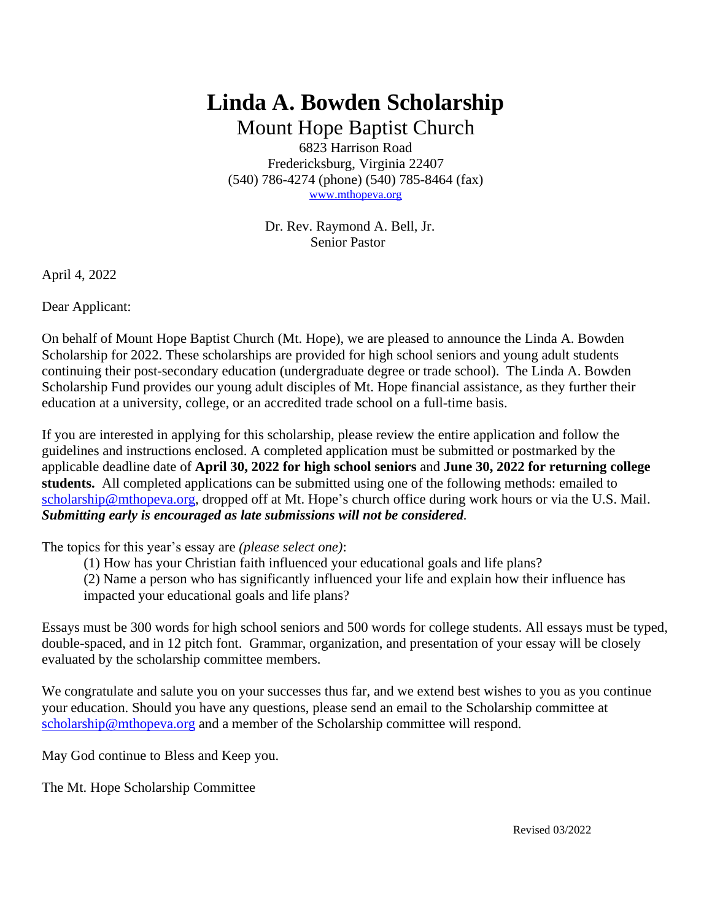# **Linda A. Bowden Scholarship**

Mount Hope Baptist Church 6823 Harrison Road Fredericksburg, Virginia 22407 (540) 786-4274 (phone) (540) 785-8464 (fax) [www.mthopeva.org](http://www.mthopeva.org/)

> Dr. Rev. Raymond A. Bell, Jr. Senior Pastor

April 4, 2022

Dear Applicant:

On behalf of Mount Hope Baptist Church (Mt. Hope), we are pleased to announce the Linda A. Bowden Scholarship for 2022. These scholarships are provided for high school seniors and young adult students continuing their post-secondary education (undergraduate degree or trade school). The Linda A. Bowden Scholarship Fund provides our young adult disciples of Mt. Hope financial assistance, as they further their education at a university, college, or an accredited trade school on a full-time basis.

If you are interested in applying for this scholarship, please review the entire application and follow the guidelines and instructions enclosed. A completed application must be submitted or postmarked by the applicable deadline date of **April 30, 2022 for high school seniors** and **June 30, 2022 for returning college students.** All completed applications can be submitted using one of the following methods: emailed to [scholarship@mthopeva.org,](mailto:scholarship@mthopeva.org) dropped off at Mt. Hope's church office during work hours or via the U.S. Mail. *Submitting early is encouraged as late submissions will not be considered.*

The topics for this year's essay are *(please select one)*:

(1) How has your Christian faith influenced your educational goals and life plans?

(2) Name a person who has significantly influenced your life and explain how their influence has impacted your educational goals and life plans?

Essays must be 300 words for high school seniors and 500 words for college students. All essays must be typed, double-spaced, and in 12 pitch font. Grammar, organization, and presentation of your essay will be closely evaluated by the scholarship committee members.

We congratulate and salute you on your successes thus far, and we extend best wishes to you as you continue your education. Should you have any questions, please send an email to the Scholarship committee at [scholarship@mthopeva.org](mailto:scholarship@mthopeva.org) and a member of the Scholarship committee will respond.

May God continue to Bless and Keep you.

The Mt. Hope Scholarship Committee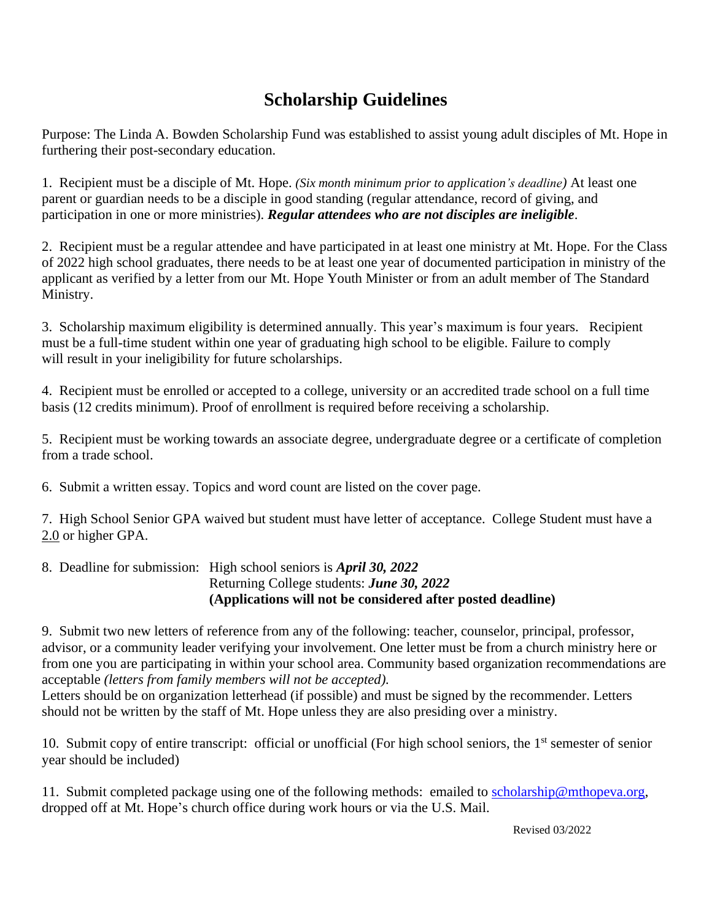### **Scholarship Guidelines**

Purpose: The Linda A. Bowden Scholarship Fund was established to assist young adult disciples of Mt. Hope in furthering their post-secondary education.

1. Recipient must be a disciple of Mt. Hope. *(Six month minimum prior to application's deadline)* At least one parent or guardian needs to be a disciple in good standing (regular attendance, record of giving, and participation in one or more ministries). *Regular attendees who are not disciples are ineligible*.

2. Recipient must be a regular attendee and have participated in at least one ministry at Mt. Hope. For the Class of 2022 high school graduates, there needs to be at least one year of documented participation in ministry of the applicant as verified by a letter from our Mt. Hope Youth Minister or from an adult member of The Standard Ministry.

3. Scholarship maximum eligibility is determined annually. This year's maximum is four years. Recipient must be a full-time student within one year of graduating high school to be eligible. Failure to comply will result in your ineligibility for future scholarships.

4. Recipient must be enrolled or accepted to a college, university or an accredited trade school on a full time basis (12 credits minimum). Proof of enrollment is required before receiving a scholarship.

5. Recipient must be working towards an associate degree, undergraduate degree or a certificate of completion from a trade school.

6. Submit a written essay. Topics and word count are listed on the cover page.

7. High School Senior GPA waived but student must have letter of acceptance. College Student must have a 2.0 or higher GPA.

8. Deadline for submission: High school seniors is *April 30, 2022* Returning College students: *June 30, 2022* **(Applications will not be considered after posted deadline)**

9. Submit two new letters of reference from any of the following: teacher, counselor, principal, professor, advisor, or a community leader verifying your involvement. One letter must be from a church ministry here or from one you are participating in within your school area. Community based organization recommendations are acceptable *(letters from family members will not be accepted).* 

Letters should be on organization letterhead (if possible) and must be signed by the recommender. Letters should not be written by the staff of Mt. Hope unless they are also presiding over a ministry.

10. Submit copy of entire transcript: official or unofficial (For high school seniors, the 1<sup>st</sup> semester of senior year should be included)

11. Submit completed package using one of the following methods: emailed to [scholarship@mthopeva.org,](mailto:scholarship@mthopeva.org) dropped off at Mt. Hope's church office during work hours or via the U.S. Mail.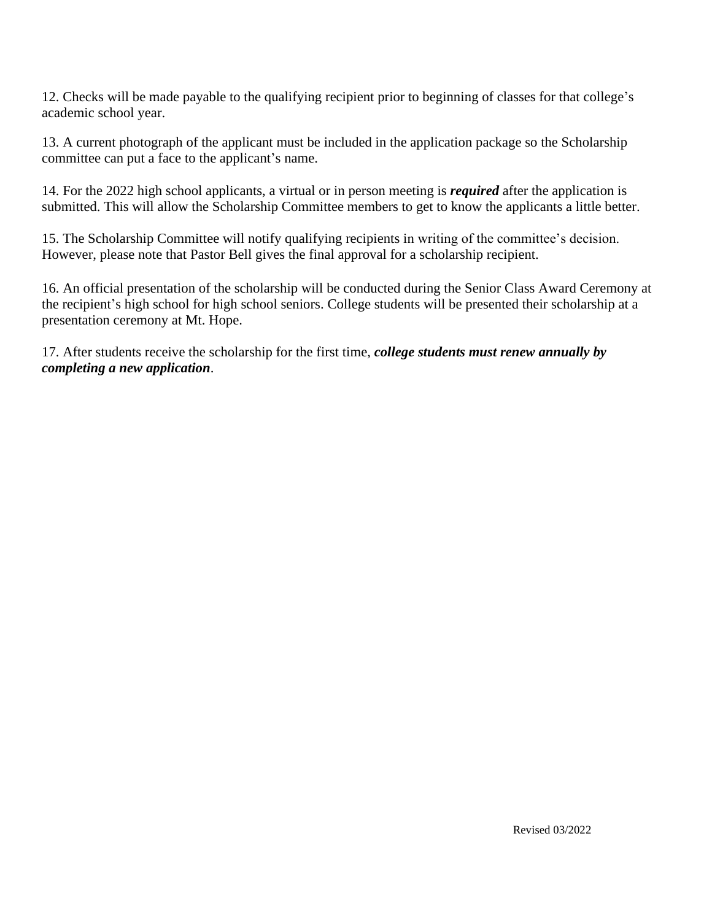12. Checks will be made payable to the qualifying recipient prior to beginning of classes for that college's academic school year.

13. A current photograph of the applicant must be included in the application package so the Scholarship committee can put a face to the applicant's name.

14. For the 2022 high school applicants, a virtual or in person meeting is *required* after the application is submitted. This will allow the Scholarship Committee members to get to know the applicants a little better.

15. The Scholarship Committee will notify qualifying recipients in writing of the committee's decision. However, please note that Pastor Bell gives the final approval for a scholarship recipient.

16. An official presentation of the scholarship will be conducted during the Senior Class Award Ceremony at the recipient's high school for high school seniors. College students will be presented their scholarship at a presentation ceremony at Mt. Hope.

17. After students receive the scholarship for the first time, *college students must renew annually by completing a new application*.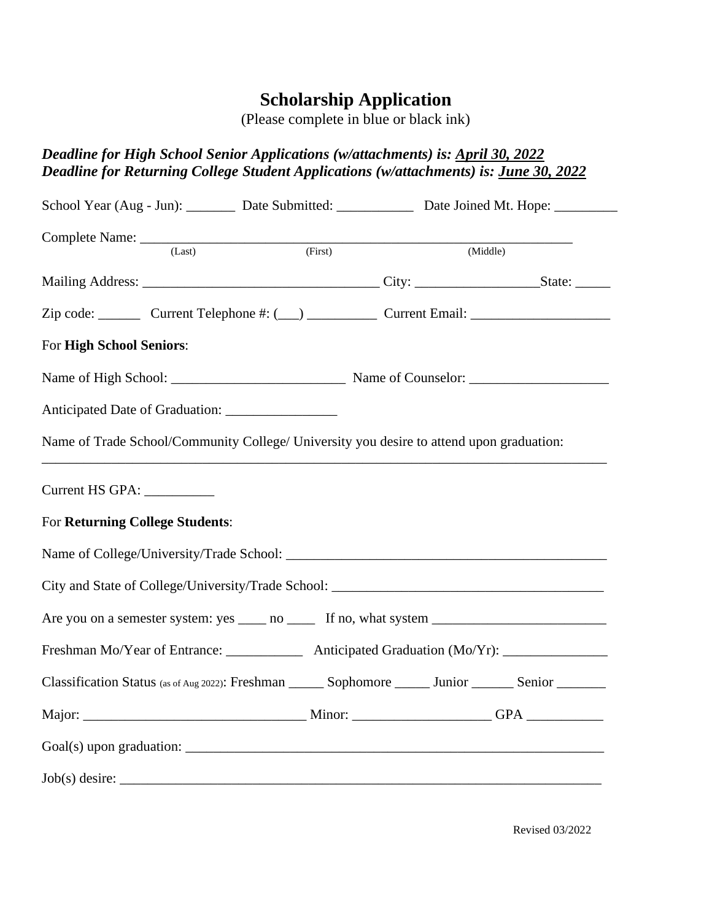## **Scholarship Application**

(Please complete in blue or black ink)

### *Deadline for High School Senior Applications (w/attachments) is: April 30, 2022 Deadline for Returning College Student Applications (w/attachments) is: June 30, 2022*

|                                        | School Year (Aug - Jun): Date Submitted: Date Joined Mt. Hope: 2014                                        |         |          |  |
|----------------------------------------|------------------------------------------------------------------------------------------------------------|---------|----------|--|
|                                        | Complete Name: $\frac{1}{\sqrt{2\pi r}}$ (First)<br>(Last)                                                 | (First) | (Middle) |  |
|                                        |                                                                                                            |         |          |  |
|                                        | Zip code: _________ Current Telephone #: (__) _____________ Current Email: _________________________       |         |          |  |
| For High School Seniors:               |                                                                                                            |         |          |  |
|                                        |                                                                                                            |         |          |  |
|                                        |                                                                                                            |         |          |  |
|                                        | Name of Trade School/Community College/ University you desire to attend upon graduation:                   |         |          |  |
| Current HS GPA: ____________           |                                                                                                            |         |          |  |
| <b>For Returning College Students:</b> |                                                                                                            |         |          |  |
|                                        |                                                                                                            |         |          |  |
|                                        |                                                                                                            |         |          |  |
|                                        |                                                                                                            |         |          |  |
|                                        | Freshman Mo/Year of Entrance: _______________ Anticipated Graduation (Mo/Yr): _____________________        |         |          |  |
|                                        | Classification Status (as of Aug 2022): Freshman _______ Sophomore _______ Junior ________ Senior ________ |         |          |  |
|                                        |                                                                                                            |         |          |  |
|                                        |                                                                                                            |         |          |  |
|                                        |                                                                                                            |         |          |  |

Revised 03/2022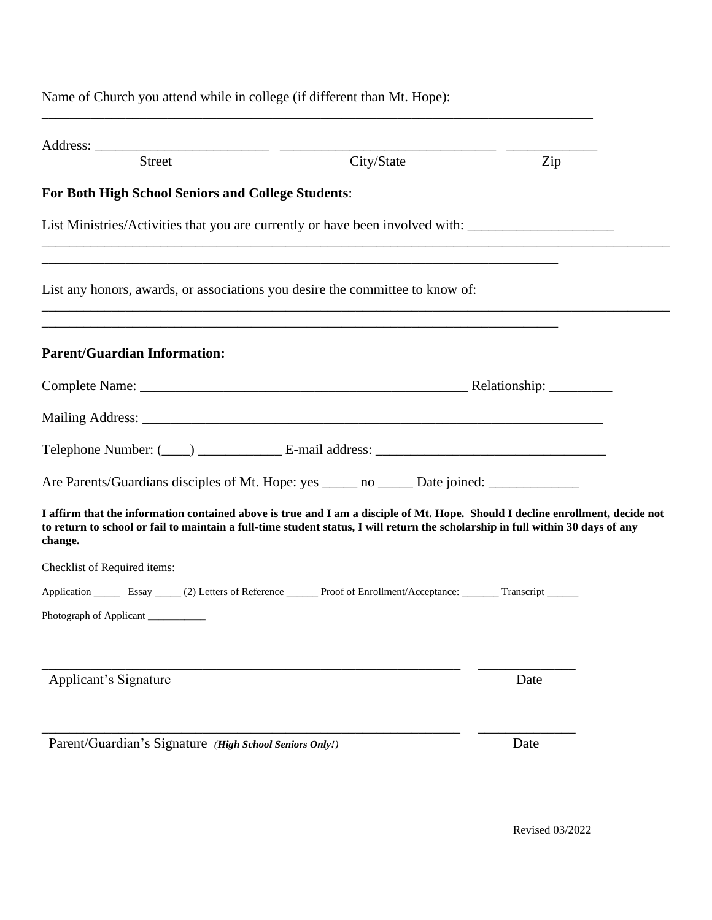Name of Church you attend while in college (if different than Mt. Hope): \_\_\_\_\_\_\_\_\_\_\_\_\_\_\_\_\_\_\_\_\_\_\_\_\_\_\_\_\_\_\_\_\_\_\_\_\_\_\_\_\_\_\_\_\_\_\_\_\_\_\_\_\_\_\_\_\_\_\_\_\_\_\_\_\_\_\_\_\_\_\_\_\_\_\_\_\_\_\_ Address: \_\_\_\_\_\_\_\_\_\_\_\_\_\_\_\_\_\_\_\_\_\_\_\_\_ \_\_\_\_\_\_\_\_\_\_\_\_\_\_\_\_\_\_\_\_\_\_\_\_\_\_\_\_\_\_\_ \_\_\_\_\_\_\_\_\_\_\_\_\_ Street City/State Zip **For Both High School Seniors and College Students**: List Ministries/Activities that you are currently or have been involved with: \_\_\_\_\_\_\_\_\_\_\_\_\_\_\_\_\_\_\_\_\_\_\_\_\_\_\_\_\_\_\_\_\_\_\_\_\_\_\_\_\_\_\_\_\_\_\_\_\_\_\_\_\_\_\_\_\_\_\_\_\_\_\_\_\_\_\_\_\_\_\_\_\_\_\_\_\_\_\_\_\_\_\_\_\_\_\_\_\_\_ \_\_\_\_\_\_\_\_\_\_\_\_\_\_\_\_\_\_\_\_\_\_\_\_\_\_\_\_\_\_\_\_\_\_\_\_\_\_\_\_\_\_\_\_\_\_\_\_\_\_\_\_\_\_\_\_\_\_\_\_\_\_\_\_\_\_\_\_\_\_\_\_\_\_ List any honors, awards, or associations you desire the committee to know of: \_\_\_\_\_\_\_\_\_\_\_\_\_\_\_\_\_\_\_\_\_\_\_\_\_\_\_\_\_\_\_\_\_\_\_\_\_\_\_\_\_\_\_\_\_\_\_\_\_\_\_\_\_\_\_\_\_\_\_\_\_\_\_\_\_\_\_\_\_\_\_\_\_\_\_\_\_\_\_\_\_\_\_\_\_\_\_\_\_\_ \_\_\_\_\_\_\_\_\_\_\_\_\_\_\_\_\_\_\_\_\_\_\_\_\_\_\_\_\_\_\_\_\_\_\_\_\_\_\_\_\_\_\_\_\_\_\_\_\_\_\_\_\_\_\_\_\_\_\_\_\_\_\_\_\_\_\_\_\_\_\_\_\_\_ **Parent/Guardian Information:** Complete Name: \_\_\_\_\_\_\_\_\_\_\_\_\_\_\_\_\_\_\_\_\_\_\_\_\_\_\_\_\_\_\_\_\_\_\_\_\_\_\_\_\_\_\_\_\_\_\_ Relationship: \_\_\_\_\_\_\_\_\_ Mailing Address: \_\_\_\_\_\_\_\_\_\_\_\_\_\_\_\_\_\_\_\_\_\_\_\_\_\_\_\_\_\_\_\_\_\_\_\_\_\_\_\_\_\_\_\_\_\_\_\_\_\_\_\_\_\_\_\_\_\_\_\_\_\_\_\_\_\_ Telephone Number: (\_\_\_\_) \_\_\_\_\_\_\_\_\_\_\_\_ E-mail address: \_\_\_\_\_\_\_\_\_\_\_\_\_\_\_\_\_\_\_\_\_\_\_\_\_\_\_\_\_\_\_\_\_ Are Parents/Guardians disciples of Mt. Hope: yes \_\_\_\_\_ no \_\_\_\_\_ Date joined: \_\_\_\_\_\_\_\_\_\_\_\_\_\_\_\_\_\_\_\_\_\_\_ **I affirm that the information contained above is true and I am a disciple of Mt. Hope. Should I decline enrollment, decide not to return to school or fail to maintain a full-time student status, I will return the scholarship in full within 30 days of any change.**  Checklist of Required items: Application \_\_\_\_\_\_ Essay \_\_\_\_\_ (2) Letters of Reference \_\_\_\_\_\_ Proof of Enrollment/Acceptance: \_\_\_\_\_\_\_ Transcript \_\_\_\_\_\_ Photograph of Applicant \_\_\_\_\_\_\_\_\_\_\_\_\_\_\_\_\_\_\_\_\_\_\_\_\_\_\_\_\_\_\_\_\_\_\_\_\_\_\_\_\_\_\_\_\_\_\_\_\_\_\_\_\_\_\_\_\_\_\_\_ \_\_\_\_\_\_\_\_\_\_\_\_\_\_ Applicant's Signature Date \_\_\_\_\_\_\_\_\_\_\_\_\_\_\_\_\_\_\_\_\_\_\_\_\_\_\_\_\_\_\_\_\_\_\_\_\_\_\_\_\_\_\_\_\_\_\_\_\_\_\_\_\_\_\_\_\_\_\_\_ \_\_\_\_\_\_\_\_\_\_\_\_\_\_

Parent/Guardian's Signature *(High School Seniors Only!)* Date

Revised 03/2022